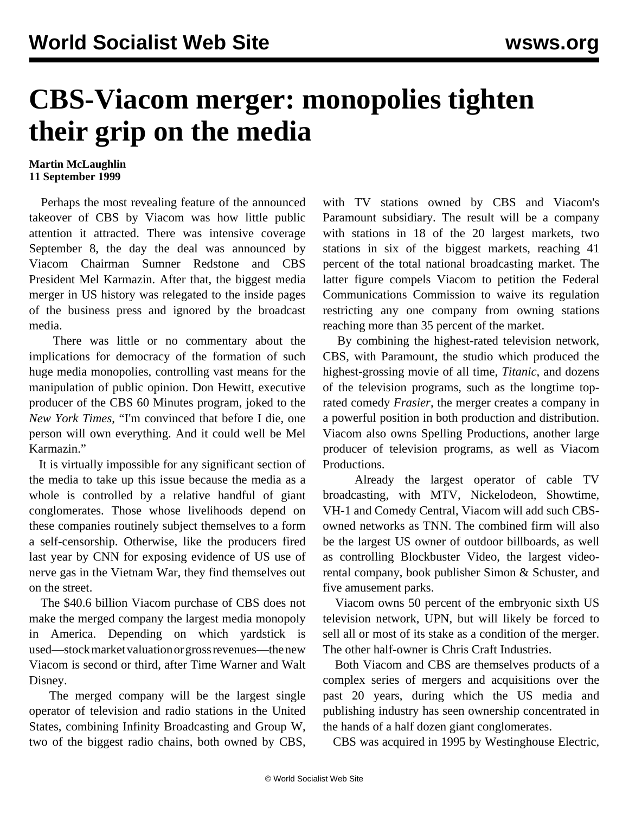## **CBS-Viacom merger: monopolies tighten their grip on the media**

## **Martin McLaughlin 11 September 1999**

 Perhaps the most revealing feature of the announced takeover of CBS by Viacom was how little public attention it attracted. There was intensive coverage September 8, the day the deal was announced by Viacom Chairman Sumner Redstone and CBS President Mel Karmazin. After that, the biggest media merger in US history was relegated to the inside pages of the business press and ignored by the broadcast media.

 There was little or no commentary about the implications for democracy of the formation of such huge media monopolies, controlling vast means for the manipulation of public opinion. Don Hewitt, executive producer of the CBS 60 Minutes program, joked to the *New York Times*, "I'm convinced that before I die, one person will own everything. And it could well be Mel Karmazin."

 It is virtually impossible for any significant section of the media to take up this issue because the media as a whole is controlled by a relative handful of giant conglomerates. Those whose livelihoods depend on these companies routinely subject themselves to a form a self-censorship. Otherwise, like the producers fired last year by CNN for exposing evidence of US use of nerve gas in the Vietnam War, they find themselves out on the street.

 The \$40.6 billion Viacom purchase of CBS does not make the merged company the largest media monopoly in America. Depending on which yardstick is used—stock market valuation or gross revenues—the new Viacom is second or third, after Time Warner and Walt Disney.

 The merged company will be the largest single operator of television and radio stations in the United States, combining Infinity Broadcasting and Group W, two of the biggest radio chains, both owned by CBS, with TV stations owned by CBS and Viacom's Paramount subsidiary. The result will be a company with stations in 18 of the 20 largest markets, two stations in six of the biggest markets, reaching 41 percent of the total national broadcasting market. The latter figure compels Viacom to petition the Federal Communications Commission to waive its regulation restricting any one company from owning stations reaching more than 35 percent of the market.

 By combining the highest-rated television network, CBS, with Paramount, the studio which produced the highest-grossing movie of all time, *Titanic*, and dozens of the television programs, such as the longtime toprated comedy *Frasier*, the merger creates a company in a powerful position in both production and distribution. Viacom also owns Spelling Productions, another large producer of television programs, as well as Viacom Productions.

 Already the largest operator of cable TV broadcasting, with MTV, Nickelodeon, Showtime, VH-1 and Comedy Central, Viacom will add such CBSowned networks as TNN. The combined firm will also be the largest US owner of outdoor billboards, as well as controlling Blockbuster Video, the largest videorental company, book publisher Simon & Schuster, and five amusement parks.

 Viacom owns 50 percent of the embryonic sixth US television network, UPN, but will likely be forced to sell all or most of its stake as a condition of the merger. The other half-owner is Chris Craft Industries.

 Both Viacom and CBS are themselves products of a complex series of mergers and acquisitions over the past 20 years, during which the US media and publishing industry has seen ownership concentrated in the hands of a half dozen giant conglomerates.

CBS was acquired in 1995 by Westinghouse Electric,